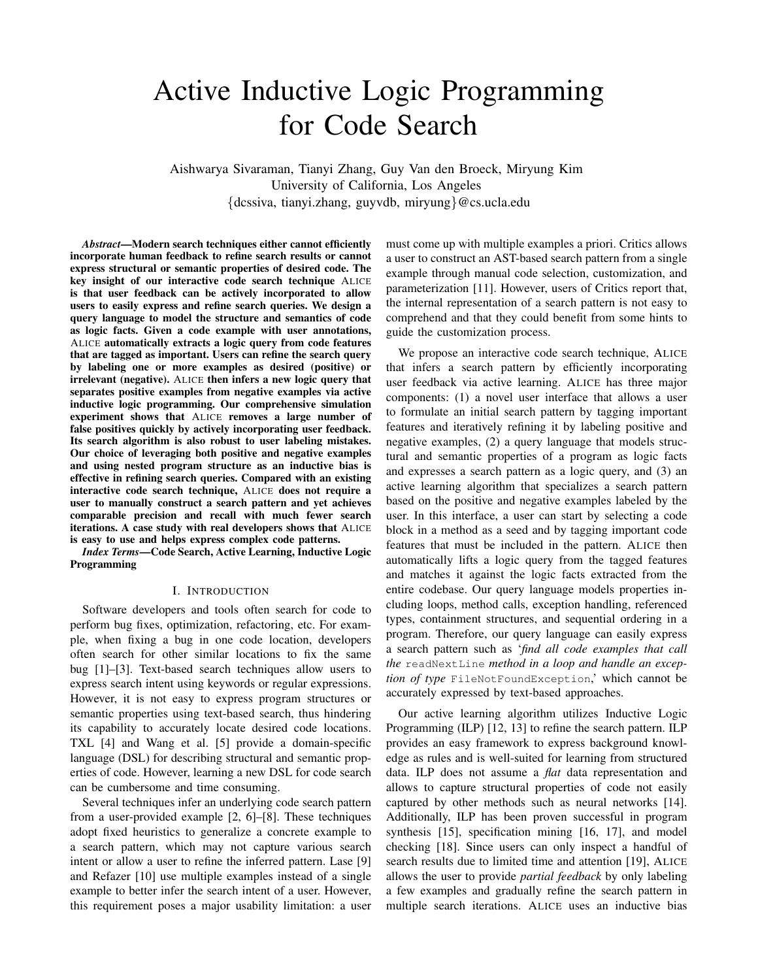# Active Inductive Logic Programming for Code Search

Aishwarya Sivaraman, Tianyi Zhang, Guy Van den Broeck, Miryung Kim University of California, Los Angeles {dcssiva, tianyi.zhang, guyvdb, miryung}@cs.ucla.edu

*Abstract*—Modern search techniques either cannot efficiently incorporate human feedback to refine search results or cannot express structural or semantic properties of desired code. The key insight of our interactive code search technique ALICE is that user feedback can be actively incorporated to allow users to easily express and refine search queries. We design a query language to model the structure and semantics of code as logic facts. Given a code example with user annotations, ALICE automatically extracts a logic query from code features that are tagged as important. Users can refine the search query by labeling one or more examples as desired (positive) or irrelevant (negative). ALICE then infers a new logic query that separates positive examples from negative examples via active inductive logic programming. Our comprehensive simulation experiment shows that ALICE removes a large number of false positives quickly by actively incorporating user feedback. Its search algorithm is also robust to user labeling mistakes. Our choice of leveraging both positive and negative examples and using nested program structure as an inductive bias is effective in refining search queries. Compared with an existing interactive code search technique, ALICE does not require a user to manually construct a search pattern and yet achieves comparable precision and recall with much fewer search iterations. A case study with real developers shows that ALICE is easy to use and helps express complex code patterns.

*Index Terms*—Code Search, Active Learning, Inductive Logic Programming

# I. INTRODUCTION

Software developers and tools often search for code to perform bug fixes, optimization, refactoring, etc. For example, when fixing a bug in one code location, developers often search for other similar locations to fix the same bug [1]–[3]. Text-based search techniques allow users to express search intent using keywords or regular expressions. However, it is not easy to express program structures or semantic properties using text-based search, thus hindering its capability to accurately locate desired code locations. TXL [4] and Wang et al. [5] provide a domain-specific language (DSL) for describing structural and semantic properties of code. However, learning a new DSL for code search can be cumbersome and time consuming.

Several techniques infer an underlying code search pattern from a user-provided example [2, 6]–[8]. These techniques adopt fixed heuristics to generalize a concrete example to a search pattern, which may not capture various search intent or allow a user to refine the inferred pattern. Lase [9] and Refazer [10] use multiple examples instead of a single example to better infer the search intent of a user. However, this requirement poses a major usability limitation: a user

must come up with multiple examples a priori. Critics allows a user to construct an AST-based search pattern from a single example through manual code selection, customization, and parameterization [11]. However, users of Critics report that, the internal representation of a search pattern is not easy to comprehend and that they could benefit from some hints to guide the customization process.

We propose an interactive code search technique, ALICE that infers a search pattern by efficiently incorporating user feedback via active learning. ALICE has three major components: (1) a novel user interface that allows a user to formulate an initial search pattern by tagging important features and iteratively refining it by labeling positive and negative examples, (2) a query language that models structural and semantic properties of a program as logic facts and expresses a search pattern as a logic query, and (3) an active learning algorithm that specializes a search pattern based on the positive and negative examples labeled by the user. In this interface, a user can start by selecting a code block in a method as a seed and by tagging important code features that must be included in the pattern. ALICE then automatically lifts a logic query from the tagged features and matches it against the logic facts extracted from the entire codebase. Our query language models properties including loops, method calls, exception handling, referenced types, containment structures, and sequential ordering in a program. Therefore, our query language can easily express a search pattern such as '*find all code examples that call the* readNextLine *method in a loop and handle an exception of type* FileNotFoundException,' which cannot be accurately expressed by text-based approaches.

Our active learning algorithm utilizes Inductive Logic Programming (ILP) [12, 13] to refine the search pattern. ILP provides an easy framework to express background knowledge as rules and is well-suited for learning from structured data. ILP does not assume a *flat* data representation and allows to capture structural properties of code not easily captured by other methods such as neural networks [14]. Additionally, ILP has been proven successful in program synthesis [15], specification mining [16, 17], and model checking [18]. Since users can only inspect a handful of search results due to limited time and attention [19], ALICE allows the user to provide *partial feedback* by only labeling a few examples and gradually refine the search pattern in multiple search iterations. ALICE uses an inductive bias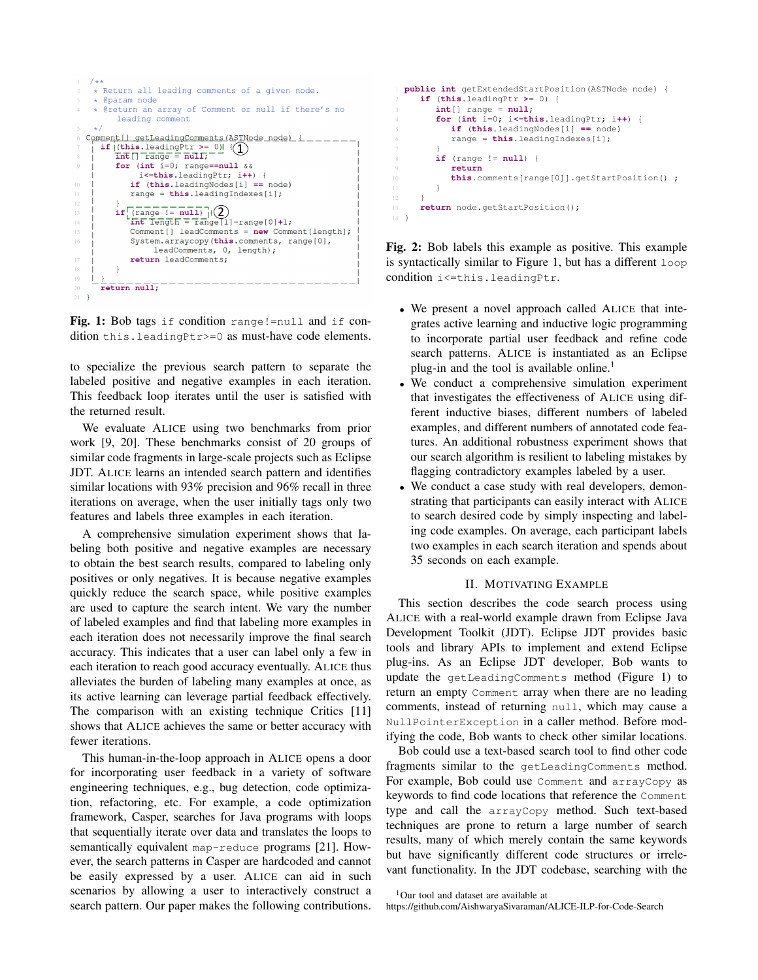

Fig. 1: Bob tags if condition range!=null and if condition this.leadingPtr>=0 as must-have code elements.

to specialize the previous search pattern to separate the labeled positive and negative examples in each iteration. This feedback loop iterates until the user is satisfied with the returned result.

We evaluate ALICE using two benchmarks from prior work [9, 20]. These benchmarks consist of 20 groups of similar code fragments in large-scale projects such as Eclipse JDT. ALICE learns an intended search pattern and identifies similar locations with 93% precision and 96% recall in three iterations on average, when the user initially tags only two features and labels three examples in each iteration.

A comprehensive simulation experiment shows that labeling both positive and negative examples are necessary to obtain the best search results, compared to labeling only positives or only negatives. It is because negative examples quickly reduce the search space, while positive examples are used to capture the search intent. We vary the number of labeled examples and find that labeling more examples in each iteration does not necessarily improve the final search accuracy. This indicates that a user can label only a few in each iteration to reach good accuracy eventually. ALICE thus alleviates the burden of labeling many examples at once, as its active learning can leverage partial feedback effectively. The comparison with an existing technique Critics [11] shows that ALICE achieves the same or better accuracy with fewer iterations.

This human-in-the-loop approach in ALICE opens a door for incorporating user feedback in a variety of software engineering techniques, e.g., bug detection, code optimization, refactoring, etc. For example, a code optimization framework, Casper, searches for Java programs with loops that sequentially iterate over data and translates the loops to semantically equivalent map-reduce programs [21]. However, the search patterns in Casper are hardcoded and cannot be easily expressed by a user. ALICE can aid in such scenarios by allowing a user to interactively construct a search pattern. Our paper makes the following contributions.

```
1 public int getExtendedStartPosition(ASTNode node) {
     2 if (this.leadingPtr >= 0) {
        int[] range = null;
        4 for (int i=0; i<=this.leadingPtr; i++) {
           5 if (this.leadingNodes[i] == node)
           6 range = this.leadingIndexes[i];
 7 }
        8 if (range != null) {
           9 return
10 this.comments[range[0]].getStartPosition() ;
11 1112 }
13 return node.getStartPosition();
14 }
```
Fig. 2: Bob labels this example as positive. This example is syntactically similar to Figure 1, but has a different loop condition i<=this.leadingPtr.

- We present a novel approach called ALICE that integrates active learning and inductive logic programming to incorporate partial user feedback and refine code search patterns. ALICE is instantiated as an Eclipse plug-in and the tool is available online.<sup>1</sup>
- We conduct a comprehensive simulation experiment that investigates the effectiveness of ALICE using different inductive biases, different numbers of labeled examples, and different numbers of annotated code features. An additional robustness experiment shows that our search algorithm is resilient to labeling mistakes by flagging contradictory examples labeled by a user.
- We conduct a case study with real developers, demonstrating that participants can easily interact with ALICE to search desired code by simply inspecting and labeling code examples. On average, each participant labels two examples in each search iteration and spends about 35 seconds on each example.

# II. MOTIVATING EXAMPLE

This section describes the code search process using ALICE with a real-world example drawn from Eclipse Java Development Toolkit (JDT). Eclipse JDT provides basic tools and library APIs to implement and extend Eclipse plug-ins. As an Eclipse JDT developer, Bob wants to update the getLeadingComments method (Figure 1) to return an empty Comment array when there are no leading comments, instead of returning null, which may cause a NullPointerException in a caller method. Before modifying the code, Bob wants to check other similar locations.

Bob could use a text-based search tool to find other code fragments similar to the getLeadingComments method. For example, Bob could use Comment and arrayCopy as keywords to find code locations that reference the Comment type and call the arrayCopy method. Such text-based techniques are prone to return a large number of search results, many of which merely contain the same keywords but have significantly different code structures or irrelevant functionality. In the JDT codebase, searching with the

```
<sup>1</sup>Our tool and dataset are available at
```
https://github.com/AishwaryaSivaraman/ALICE-ILP-for-Code-Search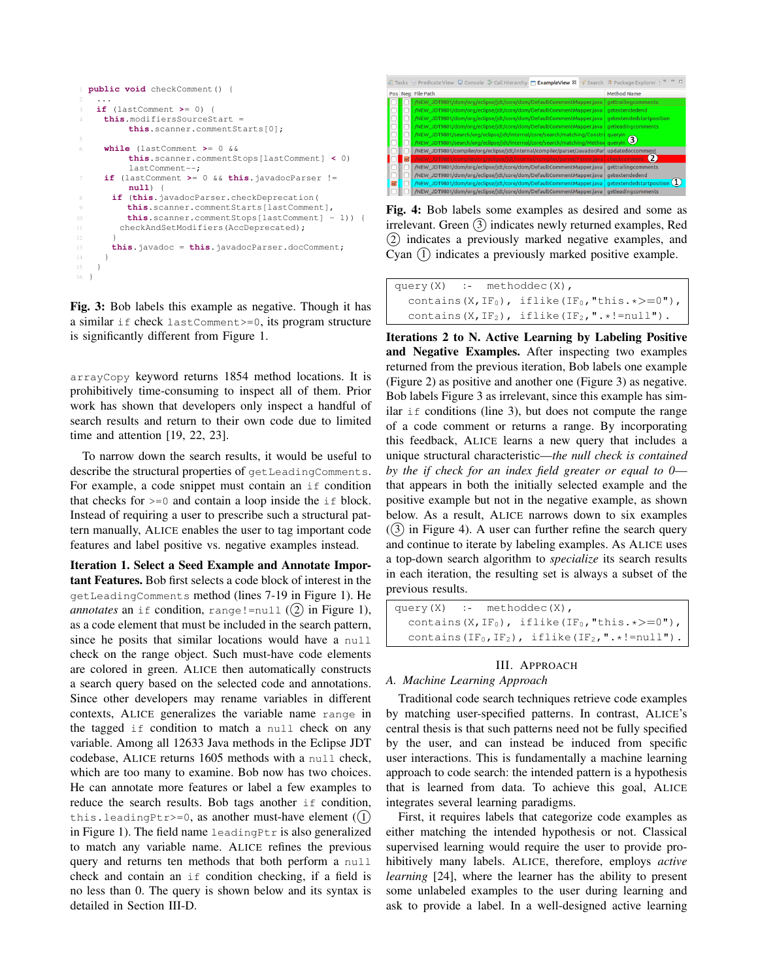```
1 public void checkComment() {
 2 \cdot \cdot \cdot3 if (lastComment >= 0) {
     4 this.modifiersSourceStart =
          this.scanner.commentStarts[0];
     6 while (lastComment >= 0 &&
          this.scanner.commentStops[lastComment] < 0)
          lastComment--;
     7 if (lastComment >= 0 && this.javadocParser !=
          null) {
       8 if (this.javadocParser.checkDeprecation(
          9 this.scanner.commentStarts[lastComment],
10 this.scanner.commentStops[lastComment] - 1)) {
11 checkAndSetModifiers(AccDeprecated);
13 this.javadoc = this.javadocParser.docComment;
16 }
```
Fig. 3: Bob labels this example as negative. Though it has a similar if check lastComment>=0, its program structure is significantly different from Figure 1.

arrayCopy keyword returns 1854 method locations. It is prohibitively time-consuming to inspect all of them. Prior work has shown that developers only inspect a handful of search results and return to their own code due to limited time and attention [19, 22, 23].

To narrow down the search results, it would be useful to describe the structural properties of getLeadingComments. For example, a code snippet must contain an if condition that checks for  $>=0$  and contain a loop inside the  $if$  block. Instead of requiring a user to prescribe such a structural pattern manually, ALICE enables the user to tag important code features and label positive vs. negative examples instead.

Iteration 1. Select a Seed Example and Annotate Important Features. Bob first selects a code block of interest in the getLeadingComments method (lines 7-19 in Figure 1). He *annotates* an if condition, range!=null  $(2)$  in Figure 1), as a code element that must be included in the search pattern, since he posits that similar locations would have a null check on the range object. Such must-have code elements are colored in green. ALICE then automatically constructs a search query based on the selected code and annotations. Since other developers may rename variables in different contexts, ALICE generalizes the variable name range in the tagged if condition to match a null check on any variable. Among all 12633 Java methods in the Eclipse JDT codebase, ALICE returns 1605 methods with a null check, which are too many to examine. Bob now has two choices. He can annotate more features or label a few examples to reduce the search results. Bob tags another if condition, this. leading Ptr>=0, as another must-have element  $(1)$ in Figure 1). The field name leadingPtr is also generalized to match any variable name. ALICE refines the previous query and returns ten methods that both perform a null check and contain an if condition checking, if a field is no less than 0. The query is shown below and its syntax is detailed in Section III-D.



Fig. 4: Bob labels some examples as desired and some as irrelevant. Green (3) indicates newly returned examples, Red 2 indicates a previously marked negative examples, and Cyan (1) indicates a previously marked positive example.

```
query(X) :- methoddec(X),
  contains(X, IF<sub>0</sub>), iflike(IF<sub>0</sub>, "this. *>=0"),
  contains(X, IF<sub>2</sub>), iflike(IF<sub>2</sub>, ".*!=null").
```
Iterations 2 to N. Active Learning by Labeling Positive and Negative Examples. After inspecting two examples returned from the previous iteration, Bob labels one example (Figure 2) as positive and another one (Figure 3) as negative. Bob labels Figure 3 as irrelevant, since this example has similar if conditions (line 3), but does not compute the range of a code comment or returns a range. By incorporating this feedback, ALICE learns a new query that includes a unique structural characteristic—*the null check is contained by the if check for an index field greater or equal to 0* that appears in both the initially selected example and the positive example but not in the negative example, as shown below. As a result, ALICE narrows down to six examples  $(3)$  in Figure 4). A user can further refine the search query and continue to iterate by labeling examples. As ALICE uses a top-down search algorithm to *specialize* its search results in each iteration, the resulting set is always a subset of the previous results.

```
query(X) :- methoddec(X),
   contains(X, IF<sub>0</sub>), iflike(IF<sub>0</sub>, "this. *>=0"),
   contains(IF<sub>0</sub>, IF<sub>2</sub>), iflike(IF<sub>2</sub>, ".*!=null").
```
# III. APPROACH

# *A. Machine Learning Approach*

Traditional code search techniques retrieve code examples by matching user-specified patterns. In contrast, ALICE's central thesis is that such patterns need not be fully specified by the user, and can instead be induced from specific user interactions. This is fundamentally a machine learning approach to code search: the intended pattern is a hypothesis that is learned from data. To achieve this goal, ALICE integrates several learning paradigms.

First, it requires labels that categorize code examples as either matching the intended hypothesis or not. Classical supervised learning would require the user to provide prohibitively many labels. ALICE, therefore, employs *active learning* [24], where the learner has the ability to present some unlabeled examples to the user during learning and ask to provide a label. In a well-designed active learning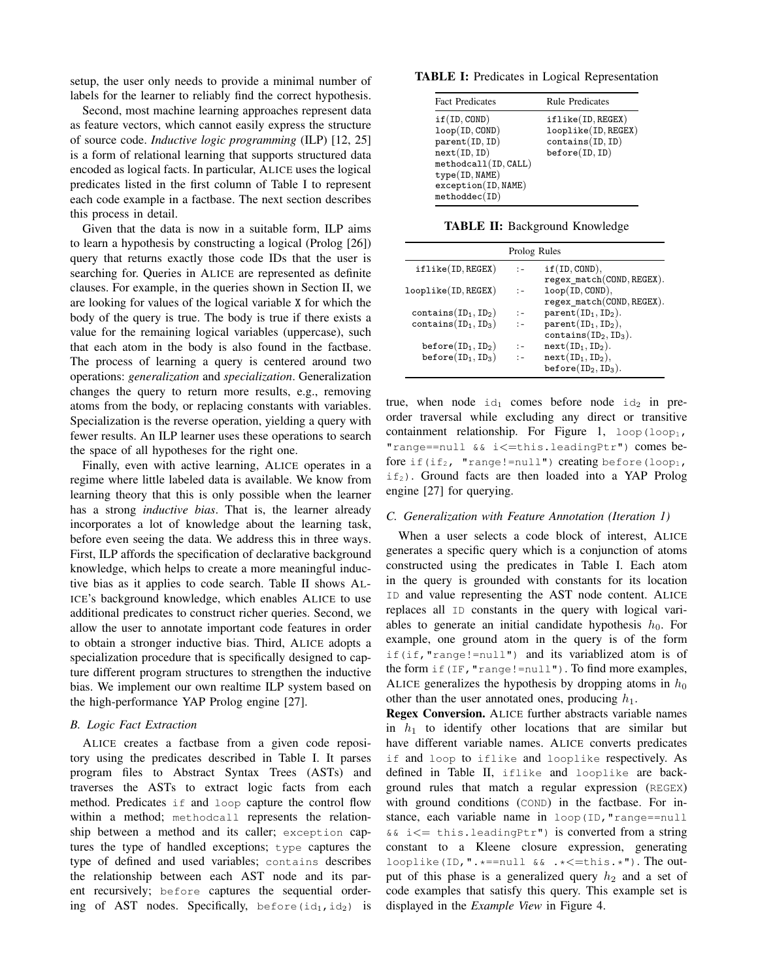setup, the user only needs to provide a minimal number of labels for the learner to reliably find the correct hypothesis.

Second, most machine learning approaches represent data as feature vectors, which cannot easily express the structure of source code. *Inductive logic programming* (ILP) [12, 25] is a form of relational learning that supports structured data encoded as logical facts. In particular, ALICE uses the logical predicates listed in the first column of Table I to represent each code example in a factbase. The next section describes this process in detail.

Given that the data is now in a suitable form, ILP aims to learn a hypothesis by constructing a logical (Prolog [26]) query that returns exactly those code IDs that the user is searching for. Queries in ALICE are represented as definite clauses. For example, in the queries shown in Section II, we are looking for values of the logical variable X for which the body of the query is true. The body is true if there exists a value for the remaining logical variables (uppercase), such that each atom in the body is also found in the factbase. The process of learning a query is centered around two operations: *generalization* and *specialization*. Generalization changes the query to return more results, e.g., removing atoms from the body, or replacing constants with variables. Specialization is the reverse operation, yielding a query with fewer results. An ILP learner uses these operations to search the space of all hypotheses for the right one.

Finally, even with active learning, ALICE operates in a regime where little labeled data is available. We know from learning theory that this is only possible when the learner has a strong *inductive bias*. That is, the learner already incorporates a lot of knowledge about the learning task, before even seeing the data. We address this in three ways. First, ILP affords the specification of declarative background knowledge, which helps to create a more meaningful inductive bias as it applies to code search. Table II shows AL-ICE's background knowledge, which enables ALICE to use additional predicates to construct richer queries. Second, we allow the user to annotate important code features in order to obtain a stronger inductive bias. Third, ALICE adopts a specialization procedure that is specifically designed to capture different program structures to strengthen the inductive bias. We implement our own realtime ILP system based on the high-performance YAP Prolog engine [27].

#### *B. Logic Fact Extraction*

ALICE creates a factbase from a given code repository using the predicates described in Table I. It parses program files to Abstract Syntax Trees (ASTs) and traverses the ASTs to extract logic facts from each method. Predicates if and loop capture the control flow within a method; methodcall represents the relationship between a method and its caller; exception captures the type of handled exceptions; type captures the type of defined and used variables; contains describes the relationship between each AST node and its parent recursively; before captures the sequential ordering of AST nodes. Specifically, before(id<sub>1,</sub>id<sub>2</sub>) is

TABLE I: Predicates in Logical Representation

| <b>Fact Predicates</b>                                                                                                                             | <b>Rule Predicates</b>                                                         |
|----------------------------------------------------------------------------------------------------------------------------------------------------|--------------------------------------------------------------------------------|
| if(ID, COND)<br>loop(ID, COND)<br>parent(ID, ID)<br>next(ID, ID)<br>methodcall(ID, CALL)<br>type(ID, NAME)<br>exception(ID, NAME)<br>methoddec(ID) | iflike(ID, REGEX)<br>looplike(ID, REGEX)<br>contains(ID, ID)<br>before(ID, ID) |

TABLE II: Background Knowledge

|                                                   | Prolog Rules   |                                                                          |
|---------------------------------------------------|----------------|--------------------------------------------------------------------------|
| iflike(ID, REGEX)                                 | $\mathbf{I} =$ | if(ID, COND),<br>regex_match(COND, REGEX).                               |
| looplike(ID, REGEX)                               | $\mathbb{I}$ – | loop(ID, COMP),<br>regex match(COND, REGEX).                             |
| $contains(ID_1, ID_2)$                            | $\mathbf{I}$   | $parent(ID_1, ID_2).$                                                    |
| contains $(ID_1, ID_3)$                           | $\ddot{ }$ $-$ | $parent(ID_1, ID_2),$<br>$contains(ID_2, ID_3).$                         |
| $before(ID_1, ID_2)$<br>before( $ID_1$ , $ID_3$ ) |                | $next(ID_1, ID_2).$<br>$next(ID_1, ID_2),$<br>before( $ID_2$ , $ID_3$ ). |

true, when node  $id_1$  comes before node  $id_2$  in preorder traversal while excluding any direct or transitive containment relationship. For Figure 1,  $loop(loop_1,$ "range==null && i<=this.leadingPtr") comes before if(if<sub>2</sub>, "range!=null") creating before(loop<sub>1</sub>,  $if_2$ ). Ground facts are then loaded into a YAP Prolog engine [27] for querying.

## *C. Generalization with Feature Annotation (Iteration 1)*

When a user selects a code block of interest, ALICE generates a specific query which is a conjunction of atoms constructed using the predicates in Table I. Each atom in the query is grounded with constants for its location ID and value representing the AST node content. ALICE replaces all ID constants in the query with logical variables to generate an initial candidate hypothesis  $h_0$ . For example, one ground atom in the query is of the form if(if,"range!=null") and its variablized atom is of the form  $if(IF, "range != null").$  To find more examples, ALICE generalizes the hypothesis by dropping atoms in  $h_0$ other than the user annotated ones, producing  $h_1$ .

Regex Conversion. ALICE further abstracts variable names in  $h_1$  to identify other locations that are similar but have different variable names. ALICE converts predicates if and loop to iflike and looplike respectively. As defined in Table II, iflike and looplike are background rules that match a regular expression (REGEX) with ground conditions (COND) in the factbase. For instance, each variable name in loop(ID, "range==null  $&\&i<=$  this.leadingPtr") is converted from a string constant to a Kleene closure expression, generating looplike(ID,".\*==null  $&\&$ .\*<=this.\*"). The output of this phase is a generalized query  $h_2$  and a set of code examples that satisfy this query. This example set is displayed in the *Example View* in Figure 4.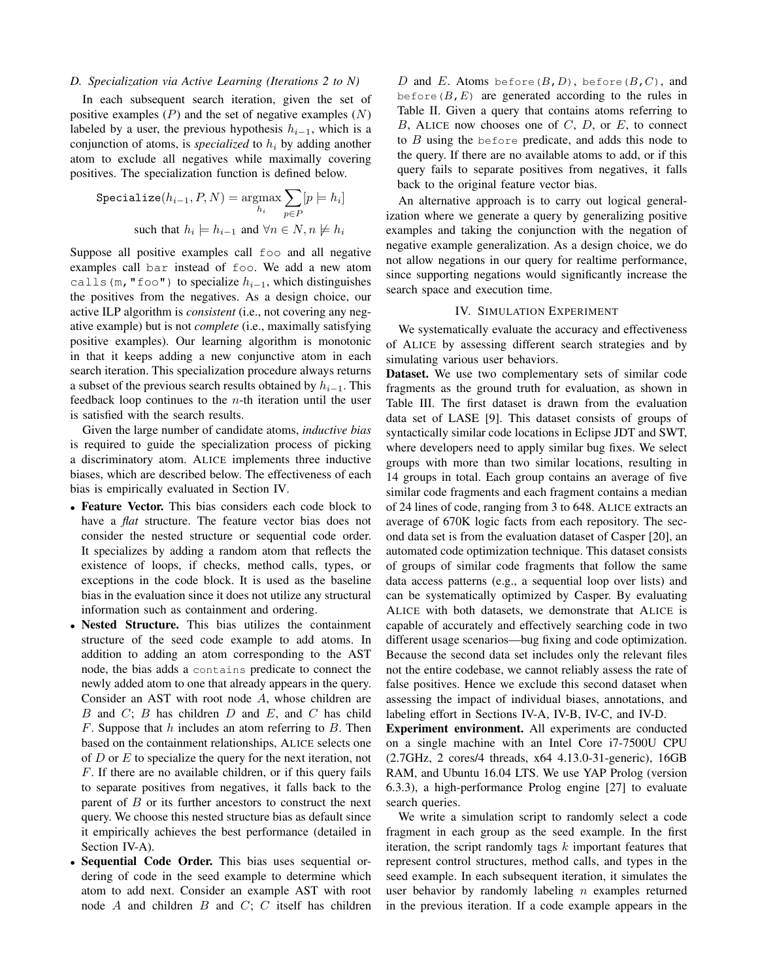# *D. Specialization via Active Learning (Iterations 2 to N)*

In each subsequent search iteration, given the set of positive examples  $(P)$  and the set of negative examples  $(N)$ labeled by a user, the previous hypothesis  $h_{i-1}$ , which is a conjunction of atoms, is *specialized* to  $h_i$  by adding another atom to exclude all negatives while maximally covering positives. The specialization function is defined below.

$$
\begin{aligned} \text{Specialize}(h_{i-1}, P, N) &= \underset{h_i}{\text{argmax}} \sum_{p \in P} [p \models h_i] \\ \text{such that } h_i \models h_{i-1} \text{ and } \forall n \in N, n \not\models h_i \end{aligned}
$$

Suppose all positive examples call foo and all negative examples call bar instead of foo. We add a new atom calls (m, "foo") to specialize  $h_{i-1}$ , which distinguishes the positives from the negatives. As a design choice, our active ILP algorithm is *consistent* (i.e., not covering any negative example) but is not *complete* (i.e., maximally satisfying positive examples). Our learning algorithm is monotonic in that it keeps adding a new conjunctive atom in each search iteration. This specialization procedure always returns a subset of the previous search results obtained by  $h_{i-1}$ . This feedback loop continues to the  $n$ -th iteration until the user is satisfied with the search results.

Given the large number of candidate atoms, *inductive bias* is required to guide the specialization process of picking a discriminatory atom. ALICE implements three inductive biases, which are described below. The effectiveness of each bias is empirically evaluated in Section IV.

- Feature Vector. This bias considers each code block to have a *flat* structure. The feature vector bias does not consider the nested structure or sequential code order. It specializes by adding a random atom that reflects the existence of loops, if checks, method calls, types, or exceptions in the code block. It is used as the baseline bias in the evaluation since it does not utilize any structural information such as containment and ordering.
- Nested Structure. This bias utilizes the containment structure of the seed code example to add atoms. In addition to adding an atom corresponding to the AST node, the bias adds a contains predicate to connect the newly added atom to one that already appears in the query. Consider an AST with root node A, whose children are  $B$  and  $C$ ;  $B$  has children  $D$  and  $E$ , and  $C$  has child  $F$ . Suppose that  $h$  includes an atom referring to  $B$ . Then based on the containment relationships, ALICE selects one of  $D$  or  $E$  to specialize the query for the next iteration, not F. If there are no available children, or if this query fails to separate positives from negatives, it falls back to the parent of  $B$  or its further ancestors to construct the next query. We choose this nested structure bias as default since it empirically achieves the best performance (detailed in Section IV-A).
- Sequential Code Order. This bias uses sequential ordering of code in the seed example to determine which atom to add next. Consider an example AST with root node  $A$  and children  $B$  and  $C$ ;  $C$  itself has children

D and E. Atoms before( $B, D$ ), before( $B, C$ ), and before  $(B, E)$  are generated according to the rules in Table II. Given a query that contains atoms referring to  $B$ , ALICE now chooses one of  $C$ ,  $D$ , or  $E$ , to connect to  $B$  using the before predicate, and adds this node to the query. If there are no available atoms to add, or if this query fails to separate positives from negatives, it falls back to the original feature vector bias.

An alternative approach is to carry out logical generalization where we generate a query by generalizing positive examples and taking the conjunction with the negation of negative example generalization. As a design choice, we do not allow negations in our query for realtime performance, since supporting negations would significantly increase the search space and execution time.

# IV. SIMULATION EXPERIMENT

We systematically evaluate the accuracy and effectiveness of ALICE by assessing different search strategies and by simulating various user behaviors.

Dataset. We use two complementary sets of similar code fragments as the ground truth for evaluation, as shown in Table III. The first dataset is drawn from the evaluation data set of LASE [9]. This dataset consists of groups of syntactically similar code locations in Eclipse JDT and SWT, where developers need to apply similar bug fixes. We select groups with more than two similar locations, resulting in 14 groups in total. Each group contains an average of five similar code fragments and each fragment contains a median of 24 lines of code, ranging from 3 to 648. ALICE extracts an average of 670K logic facts from each repository. The second data set is from the evaluation dataset of Casper [20], an automated code optimization technique. This dataset consists of groups of similar code fragments that follow the same data access patterns (e.g., a sequential loop over lists) and can be systematically optimized by Casper. By evaluating ALICE with both datasets, we demonstrate that ALICE is capable of accurately and effectively searching code in two different usage scenarios—bug fixing and code optimization. Because the second data set includes only the relevant files not the entire codebase, we cannot reliably assess the rate of false positives. Hence we exclude this second dataset when assessing the impact of individual biases, annotations, and labeling effort in Sections IV-A, IV-B, IV-C, and IV-D.

Experiment environment. All experiments are conducted on a single machine with an Intel Core i7-7500U CPU (2.7GHz, 2 cores/4 threads, x64 4.13.0-31-generic), 16GB RAM, and Ubuntu 16.04 LTS. We use YAP Prolog (version 6.3.3), a high-performance Prolog engine [27] to evaluate search queries.

We write a simulation script to randomly select a code fragment in each group as the seed example. In the first iteration, the script randomly tags  $k$  important features that represent control structures, method calls, and types in the seed example. In each subsequent iteration, it simulates the user behavior by randomly labeling  $n$  examples returned in the previous iteration. If a code example appears in the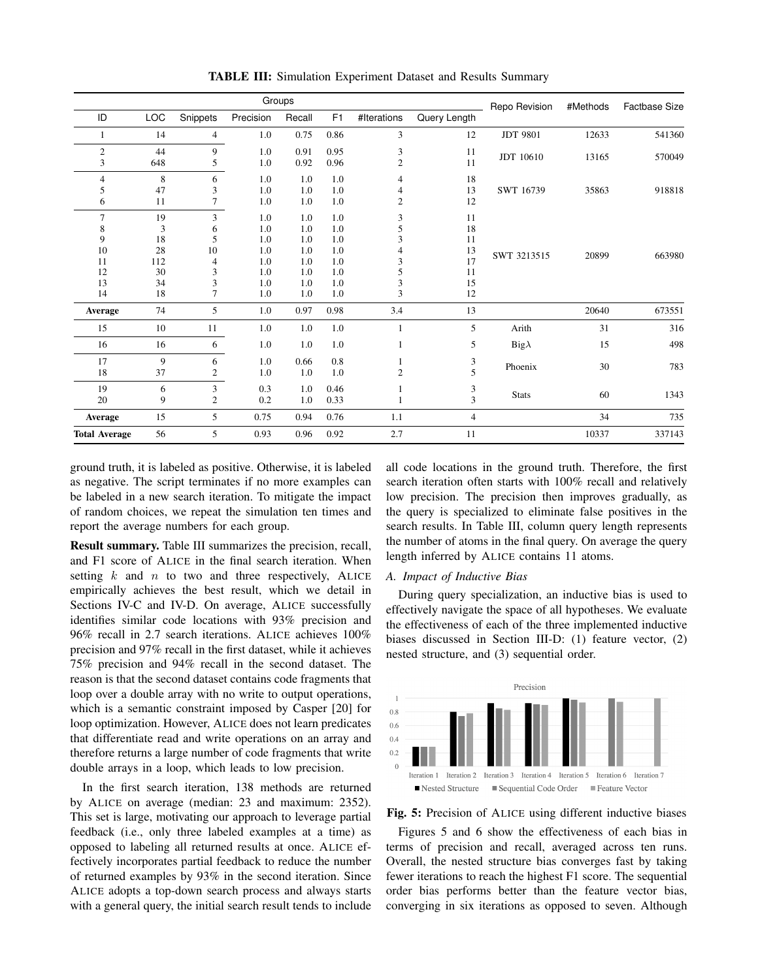|                                                        | Groups                                       |                                                    |                                                      |                                                      |                                                      | Repo Revision                        | #Methods                                     | <b>Factbase Size</b> |       |        |
|--------------------------------------------------------|----------------------------------------------|----------------------------------------------------|------------------------------------------------------|------------------------------------------------------|------------------------------------------------------|--------------------------------------|----------------------------------------------|----------------------|-------|--------|
| ID                                                     | LOC                                          | Snippets                                           | Precision                                            | Recall                                               | F1                                                   | #Iterations                          | Query Length                                 |                      |       |        |
| 1                                                      | 14                                           | $\overline{4}$                                     | 1.0                                                  | 0.75                                                 | 0.86                                                 | 3                                    | 12                                           | <b>JDT 9801</b>      | 12633 | 541360 |
| $\overline{2}$<br>3                                    | 44<br>648                                    | 9<br>5                                             | 1.0<br>1.0                                           | 0.91<br>0.92                                         | 0.95<br>0.96                                         | 3<br>$\overline{c}$                  | 11<br>11                                     | JDT 10610            | 13165 | 570049 |
| $\overline{4}$<br>5<br>6                               | 8<br>47<br>11                                | 6<br>3<br>7                                        | 1.0<br>1.0<br>1.0                                    | 1.0<br>1.0<br>1.0                                    | 1.0<br>1.0<br>1.0                                    | 4<br>4<br>$\overline{c}$             | 18<br>13<br>12                               | SWT 16739            | 35863 | 918818 |
| $\overline{7}$<br>8<br>9<br>10<br>11<br>12<br>13<br>14 | 19<br>3<br>18<br>28<br>112<br>30<br>34<br>18 | 3<br>6<br>5<br>10<br>4<br>3<br>3<br>$\overline{7}$ | 1.0<br>1.0<br>1.0<br>1.0<br>1.0<br>1.0<br>1.0<br>1.0 | 1.0<br>1.0<br>1.0<br>1.0<br>1.0<br>1.0<br>1.0<br>1.0 | 1.0<br>1.0<br>1.0<br>1.0<br>1.0<br>1.0<br>1.0<br>1.0 | 3<br>5<br>3<br>4<br>3<br>5<br>3<br>3 | 11<br>18<br>11<br>13<br>17<br>11<br>15<br>12 | SWT 3213515          | 20899 | 663980 |
| Average                                                | 74                                           | 5                                                  | 1.0                                                  | 0.97                                                 | 0.98                                                 | 3.4                                  | 13                                           |                      | 20640 | 673551 |
| 15                                                     | 10                                           | 11                                                 | 1.0                                                  | $1.0\,$                                              | 1.0                                                  | $\mathbf{1}$                         | 5                                            | Arith                | 31    | 316    |
| 16                                                     | 16                                           | 6                                                  | 1.0                                                  | 1.0                                                  | 1.0                                                  |                                      | 5                                            | $Big\lambda$         | 15    | 498    |
| 17<br>18                                               | 9<br>37                                      | 6<br>2                                             | 1.0<br>1.0                                           | 0.66<br>1.0                                          | 0.8<br>1.0                                           | $\overline{c}$                       | 3<br>$\overline{\phantom{0}}$                | Phoenix<br>30        |       | 783    |
| 19<br>20                                               | 6<br>9                                       | 3<br>$\overline{c}$                                | 0.3<br>0.2                                           | 1.0<br>1.0                                           | 0.46<br>0.33                                         |                                      | 3<br>3                                       | <b>Stats</b>         | 60    | 1343   |
| Average                                                | 15                                           | 5                                                  | 0.75                                                 | 0.94                                                 | 0.76                                                 | 1.1                                  | $\overline{4}$                               |                      | 34    | 735    |
| <b>Total Average</b>                                   | 56                                           | 5                                                  | 0.93                                                 | 0.96                                                 | 0.92                                                 | 2.7                                  | 11                                           |                      | 10337 | 337143 |

TABLE III: Simulation Experiment Dataset and Results Summary

ground truth, it is labeled as positive. Otherwise, it is labeled as negative. The script terminates if no more examples can be labeled in a new search iteration. To mitigate the impact of random choices, we repeat the simulation ten times and report the average numbers for each group.

Result summary. Table III summarizes the precision, recall, and F1 score of ALICE in the final search iteration. When setting  $k$  and  $n$  to two and three respectively, ALICE empirically achieves the best result, which we detail in Sections IV-C and IV-D. On average, ALICE successfully identifies similar code locations with 93% precision and 96% recall in 2.7 search iterations. ALICE achieves 100% precision and 97% recall in the first dataset, while it achieves 75% precision and 94% recall in the second dataset. The reason is that the second dataset contains code fragments that loop over a double array with no write to output operations, which is a semantic constraint imposed by Casper [20] for loop optimization. However, ALICE does not learn predicates that differentiate read and write operations on an array and therefore returns a large number of code fragments that write double arrays in a loop, which leads to low precision.

In the first search iteration, 138 methods are returned by ALICE on average (median: 23 and maximum: 2352). This set is large, motivating our approach to leverage partial feedback (i.e., only three labeled examples at a time) as opposed to labeling all returned results at once. ALICE effectively incorporates partial feedback to reduce the number of returned examples by 93% in the second iteration. Since ALICE adopts a top-down search process and always starts with a general query, the initial search result tends to include

all code locations in the ground truth. Therefore, the first search iteration often starts with 100% recall and relatively low precision. The precision then improves gradually, as the query is specialized to eliminate false positives in the search results. In Table III, column query length represents the number of atoms in the final query. On average the query length inferred by ALICE contains 11 atoms.

## *A. Impact of Inductive Bias*

During query specialization, an inductive bias is used to effectively navigate the space of all hypotheses. We evaluate the effectiveness of each of the three implemented inductive biases discussed in Section III-D: (1) feature vector, (2) nested structure, and (3) sequential order.



Fig. 5: Precision of ALICE using different inductive biases

Figures 5 and 6 show the effectiveness of each bias in terms of precision and recall, averaged across ten runs. Overall, the nested structure bias converges fast by taking fewer iterations to reach the highest F1 score. The sequential order bias performs better than the feature vector bias, converging in six iterations as opposed to seven. Although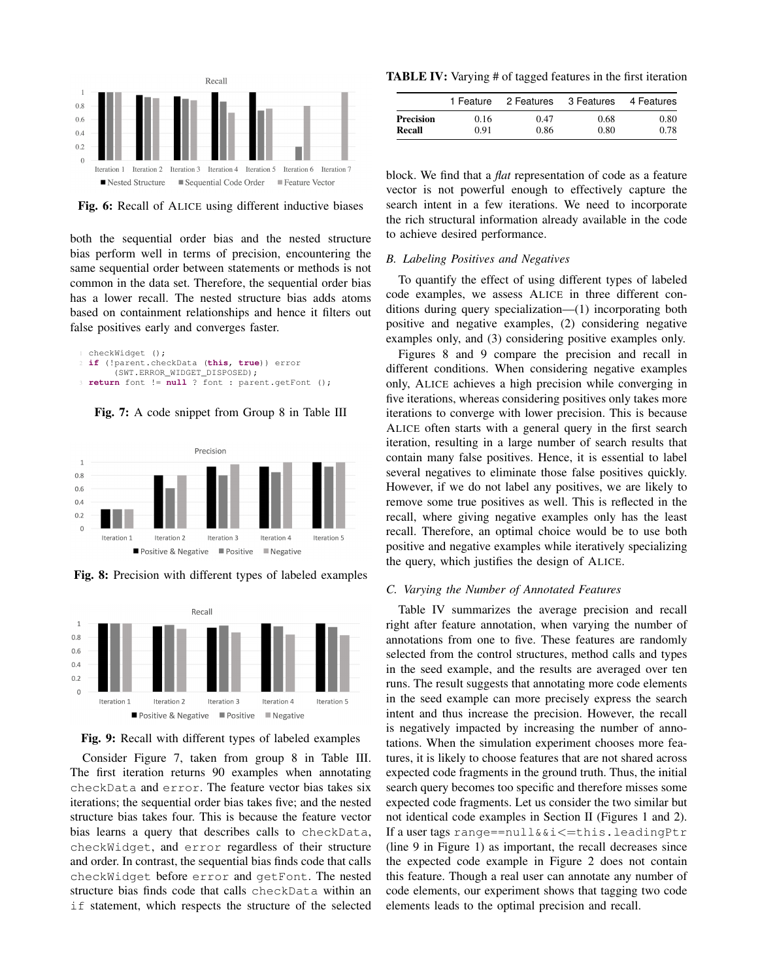

Fig. 6: Recall of ALICE using different inductive biases

both the sequential order bias and the nested structure bias perform well in terms of precision, encountering the same sequential order between statements or methods is not common in the data set. Therefore, the sequential order bias has a lower recall. The nested structure bias adds atoms based on containment relationships and hence it filters out false positives early and converges faster.

```
checkWidget ();
2 if (!parent.checkData (this, true)) error
     (SWT.ERROR_WIDGET_DISPOSED);
3 return font != null ? font : parent.getFont ();
```
Fig. 7: A code snippet from Group 8 in Table III



Fig. 8: Precision with different types of labeled examples



Fig. 9: Recall with different types of labeled examples

Consider Figure 7, taken from group 8 in Table III. The first iteration returns 90 examples when annotating checkData and error. The feature vector bias takes six iterations; the sequential order bias takes five; and the nested structure bias takes four. This is because the feature vector bias learns a query that describes calls to checkData, checkWidget, and error regardless of their structure and order. In contrast, the sequential bias finds code that calls checkWidget before error and getFont. The nested structure bias finds code that calls checkData within an if statement, which respects the structure of the selected

TABLE IV: Varying # of tagged features in the first iteration

|           | 1 Feature | 2 Features | 3 Features | 4 Features |
|-----------|-----------|------------|------------|------------|
| Precision | 0.16      | 0.47       | 0.68       | 0.80       |
| Recall    | 0.91      | 0.86       | 0.80       | 0.78       |

block. We find that a *flat* representation of code as a feature vector is not powerful enough to effectively capture the search intent in a few iterations. We need to incorporate the rich structural information already available in the code to achieve desired performance.

# *B. Labeling Positives and Negatives*

To quantify the effect of using different types of labeled code examples, we assess ALICE in three different conditions during query specialization—(1) incorporating both positive and negative examples, (2) considering negative examples only, and (3) considering positive examples only.

Figures 8 and 9 compare the precision and recall in different conditions. When considering negative examples only, ALICE achieves a high precision while converging in five iterations, whereas considering positives only takes more iterations to converge with lower precision. This is because ALICE often starts with a general query in the first search iteration, resulting in a large number of search results that contain many false positives. Hence, it is essential to label several negatives to eliminate those false positives quickly. However, if we do not label any positives, we are likely to remove some true positives as well. This is reflected in the recall, where giving negative examples only has the least recall. Therefore, an optimal choice would be to use both positive and negative examples while iteratively specializing the query, which justifies the design of ALICE.

#### *C. Varying the Number of Annotated Features*

Table IV summarizes the average precision and recall right after feature annotation, when varying the number of annotations from one to five. These features are randomly selected from the control structures, method calls and types in the seed example, and the results are averaged over ten runs. The result suggests that annotating more code elements in the seed example can more precisely express the search intent and thus increase the precision. However, the recall is negatively impacted by increasing the number of annotations. When the simulation experiment chooses more features, it is likely to choose features that are not shared across expected code fragments in the ground truth. Thus, the initial search query becomes too specific and therefore misses some expected code fragments. Let us consider the two similar but not identical code examples in Section II (Figures 1 and 2). If a user tags range==null&&i $\le$ =this.leadingPtr (line 9 in Figure 1) as important, the recall decreases since the expected code example in Figure 2 does not contain this feature. Though a real user can annotate any number of code elements, our experiment shows that tagging two code elements leads to the optimal precision and recall.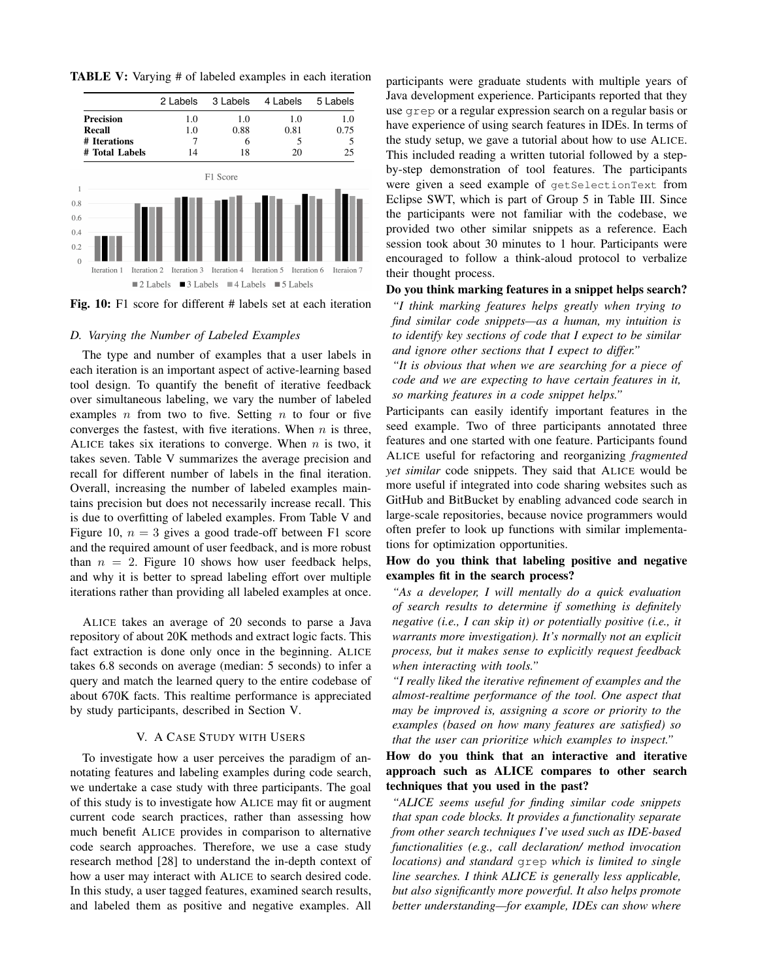TABLE V: Varying # of labeled examples in each iteration



Fig. 10: F1 score for different # labels set at each iteration

#### *D. Varying the Number of Labeled Examples*

The type and number of examples that a user labels in each iteration is an important aspect of active-learning based tool design. To quantify the benefit of iterative feedback over simultaneous labeling, we vary the number of labeled examples  $n$  from two to five. Setting  $n$  to four or five converges the fastest, with five iterations. When  $n$  is three, ALICE takes six iterations to converge. When  $n$  is two, it takes seven. Table V summarizes the average precision and recall for different number of labels in the final iteration. Overall, increasing the number of labeled examples maintains precision but does not necessarily increase recall. This is due to overfitting of labeled examples. From Table V and Figure 10,  $n = 3$  gives a good trade-off between F1 score and the required amount of user feedback, and is more robust than  $n = 2$ . Figure 10 shows how user feedback helps, and why it is better to spread labeling effort over multiple iterations rather than providing all labeled examples at once.

ALICE takes an average of 20 seconds to parse a Java repository of about 20K methods and extract logic facts. This fact extraction is done only once in the beginning. ALICE takes 6.8 seconds on average (median: 5 seconds) to infer a query and match the learned query to the entire codebase of about 670K facts. This realtime performance is appreciated by study participants, described in Section V.

# V. A CASE STUDY WITH USERS

To investigate how a user perceives the paradigm of annotating features and labeling examples during code search, we undertake a case study with three participants. The goal of this study is to investigate how ALICE may fit or augment current code search practices, rather than assessing how much benefit ALICE provides in comparison to alternative code search approaches. Therefore, we use a case study research method [28] to understand the in-depth context of how a user may interact with ALICE to search desired code. In this study, a user tagged features, examined search results, and labeled them as positive and negative examples. All participants were graduate students with multiple years of Java development experience. Participants reported that they use grep or a regular expression search on a regular basis or have experience of using search features in IDEs. In terms of the study setup, we gave a tutorial about how to use ALICE. This included reading a written tutorial followed by a stepby-step demonstration of tool features. The participants were given a seed example of getSelectionText from Eclipse SWT, which is part of Group 5 in Table III. Since the participants were not familiar with the codebase, we provided two other similar snippets as a reference. Each session took about 30 minutes to 1 hour. Participants were encouraged to follow a think-aloud protocol to verbalize their thought process.

# Do you think marking features in a snippet helps search?

*"I think marking features helps greatly when trying to find similar code snippets—as a human, my intuition is to identify key sections of code that I expect to be similar and ignore other sections that I expect to differ."*

*"It is obvious that when we are searching for a piece of code and we are expecting to have certain features in it, so marking features in a code snippet helps."*

Participants can easily identify important features in the seed example. Two of three participants annotated three features and one started with one feature. Participants found ALICE useful for refactoring and reorganizing *fragmented yet similar* code snippets. They said that ALICE would be more useful if integrated into code sharing websites such as GitHub and BitBucket by enabling advanced code search in large-scale repositories, because novice programmers would often prefer to look up functions with similar implementations for optimization opportunities.

# How do you think that labeling positive and negative examples fit in the search process?

*"As a developer, I will mentally do a quick evaluation of search results to determine if something is definitely negative (i.e., I can skip it) or potentially positive (i.e., it warrants more investigation). It's normally not an explicit process, but it makes sense to explicitly request feedback when interacting with tools."*

*"I really liked the iterative refinement of examples and the almost-realtime performance of the tool. One aspect that may be improved is, assigning a score or priority to the examples (based on how many features are satisfied) so that the user can prioritize which examples to inspect."*

# How do you think that an interactive and iterative approach such as ALICE compares to other search techniques that you used in the past?

*"ALICE seems useful for finding similar code snippets that span code blocks. It provides a functionality separate from other search techniques I've used such as IDE-based functionalities (e.g., call declaration/ method invocation locations) and standard* grep *which is limited to single line searches. I think ALICE is generally less applicable, but also significantly more powerful. It also helps promote better understanding—for example, IDEs can show where*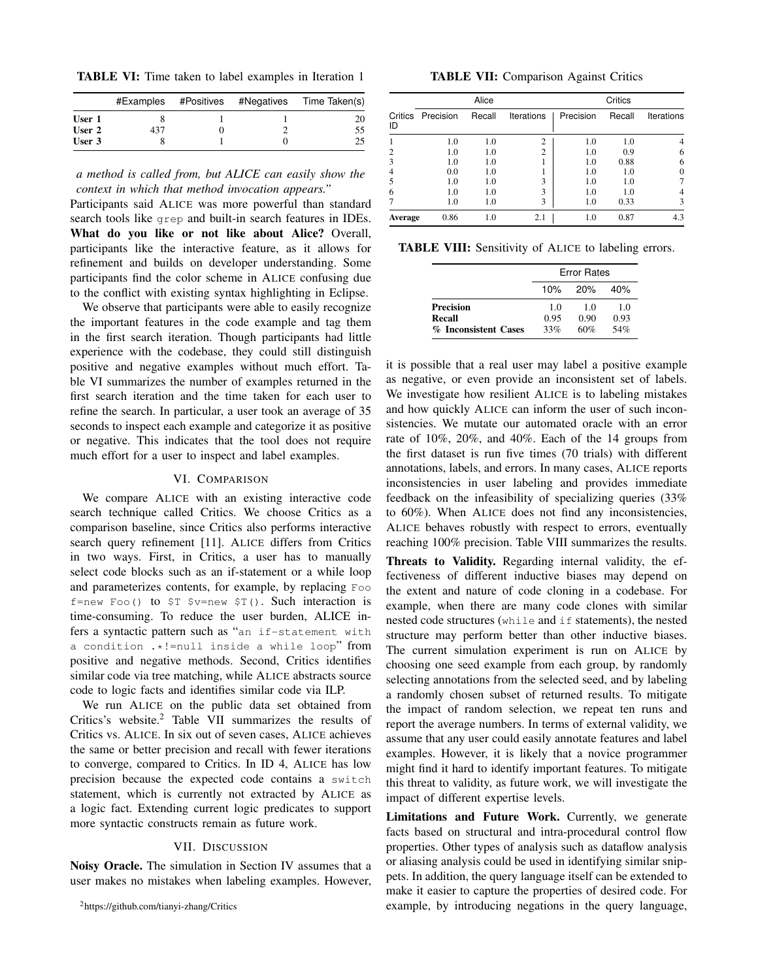TABLE VI: Time taken to label examples in Iteration 1

|        |     | #Examples #Positives | #Negatives Time Taken(s) |
|--------|-----|----------------------|--------------------------|
| User 1 |     |                      |                          |
| User 2 | 437 |                      | 55                       |
| User 3 |     |                      |                          |

# *a method is called from, but ALICE can easily show the context in which that method invocation appears."*

Participants said ALICE was more powerful than standard search tools like grep and built-in search features in IDEs. What do you like or not like about Alice? Overall, participants like the interactive feature, as it allows for refinement and builds on developer understanding. Some participants find the color scheme in ALICE confusing due to the conflict with existing syntax highlighting in Eclipse.

We observe that participants were able to easily recognize the important features in the code example and tag them in the first search iteration. Though participants had little experience with the codebase, they could still distinguish positive and negative examples without much effort. Table VI summarizes the number of examples returned in the first search iteration and the time taken for each user to refine the search. In particular, a user took an average of 35 seconds to inspect each example and categorize it as positive or negative. This indicates that the tool does not require much effort for a user to inspect and label examples.

# VI. COMPARISON

We compare ALICE with an existing interactive code search technique called Critics. We choose Critics as a comparison baseline, since Critics also performs interactive search query refinement [11]. ALICE differs from Critics in two ways. First, in Critics, a user has to manually select code blocks such as an if-statement or a while loop and parameterizes contents, for example, by replacing Foo f=new Foo() to  $T = x + 1$  for  $T = 0$ . Such interaction is time-consuming. To reduce the user burden, ALICE infers a syntactic pattern such as "an if-statement with a condition .\*!=null inside a while loop" from positive and negative methods. Second, Critics identifies similar code via tree matching, while ALICE abstracts source code to logic facts and identifies similar code via ILP.

We run ALICE on the public data set obtained from Critics's website.<sup>2</sup> Table VII summarizes the results of Critics vs. ALICE. In six out of seven cases, ALICE achieves the same or better precision and recall with fewer iterations to converge, compared to Critics. In ID 4, ALICE has low precision because the expected code contains a switch statement, which is currently not extracted by ALICE as a logic fact. Extending current logic predicates to support more syntactic constructs remain as future work.

# VII. DISCUSSION

Noisy Oracle. The simulation in Section IV assumes that a user makes no mistakes when labeling examples. However,

|  |  | <b>TABLE VII:</b> Comparison Against Critics |  |  |
|--|--|----------------------------------------------|--|--|
|--|--|----------------------------------------------|--|--|

|               |           | Alice  |                   | Critics   |        |                   |  |
|---------------|-----------|--------|-------------------|-----------|--------|-------------------|--|
| Critics<br>ID | Precision | Recall | <b>Iterations</b> | Precision | Recall | <b>Iterations</b> |  |
|               | 1.0       | 1.0    | 2                 | 1.0       | 1.0    | 4                 |  |
| 2             | 1.0       | 1.0    | $\overline{2}$    | 1.0       | 0.9    | 6                 |  |
| 3             | 1.0       | 1.0    |                   | 1.0       | 0.88   | 6                 |  |
| 4             | 0.0       | 1.0    |                   | 1.0       | 1.0    | $\Omega$          |  |
| 5             | 1.0       | 1.0    | 3                 | 1.0       | 1.0    |                   |  |
| 6             | 1.0       | 1.0    | 3                 | 1.0       | 1.0    | 4                 |  |
| 7             | 1.0       | 1.0    | 3                 | 1.0       | 0.33   | 3                 |  |
| Average       | 0.86      | 1.0    | 2.1               | 1.0       | 0.87   | 4.3               |  |

TABLE VIII: Sensitivity of ALICE to labeling errors.

|                      | <b>Error Rates</b> |      |                |  |
|----------------------|--------------------|------|----------------|--|
|                      | 10%                | 20%  | 40%            |  |
| <b>Precision</b>     | 1.0                | 1.0  | 1 <sub>0</sub> |  |
| Recall               | 0.95               | 0.90 | 0.93           |  |
| % Inconsistent Cases | 33%                | 60%  | 54%            |  |

it is possible that a real user may label a positive example as negative, or even provide an inconsistent set of labels. We investigate how resilient ALICE is to labeling mistakes and how quickly ALICE can inform the user of such inconsistencies. We mutate our automated oracle with an error rate of 10%, 20%, and 40%. Each of the 14 groups from the first dataset is run five times (70 trials) with different annotations, labels, and errors. In many cases, ALICE reports inconsistencies in user labeling and provides immediate feedback on the infeasibility of specializing queries (33% to 60%). When ALICE does not find any inconsistencies, ALICE behaves robustly with respect to errors, eventually reaching 100% precision. Table VIII summarizes the results.

Threats to Validity. Regarding internal validity, the effectiveness of different inductive biases may depend on the extent and nature of code cloning in a codebase. For example, when there are many code clones with similar nested code structures (while and if statements), the nested structure may perform better than other inductive biases. The current simulation experiment is run on ALICE by choosing one seed example from each group, by randomly selecting annotations from the selected seed, and by labeling a randomly chosen subset of returned results. To mitigate the impact of random selection, we repeat ten runs and report the average numbers. In terms of external validity, we assume that any user could easily annotate features and label examples. However, it is likely that a novice programmer might find it hard to identify important features. To mitigate this threat to validity, as future work, we will investigate the impact of different expertise levels.

Limitations and Future Work. Currently, we generate facts based on structural and intra-procedural control flow properties. Other types of analysis such as dataflow analysis or aliasing analysis could be used in identifying similar snippets. In addition, the query language itself can be extended to make it easier to capture the properties of desired code. For example, by introducing negations in the query language,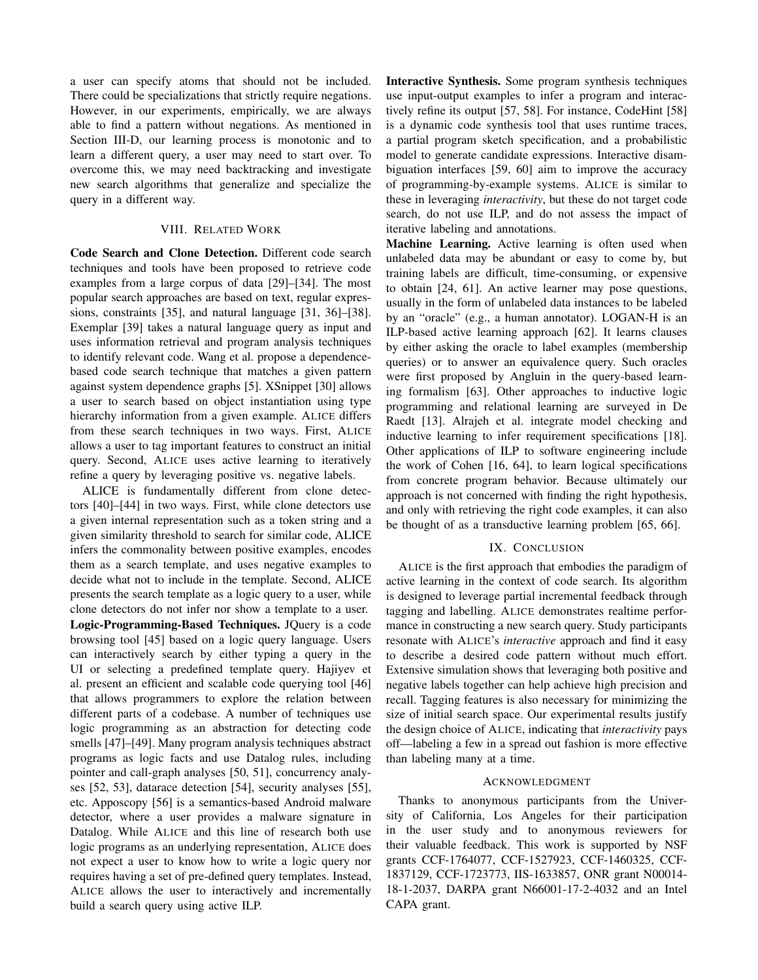a user can specify atoms that should not be included. There could be specializations that strictly require negations. However, in our experiments, empirically, we are always able to find a pattern without negations. As mentioned in Section III-D, our learning process is monotonic and to learn a different query, a user may need to start over. To overcome this, we may need backtracking and investigate new search algorithms that generalize and specialize the query in a different way.

## VIII. RELATED WORK

Code Search and Clone Detection. Different code search techniques and tools have been proposed to retrieve code examples from a large corpus of data [29]–[34]. The most popular search approaches are based on text, regular expressions, constraints [35], and natural language [31, 36]–[38]. Exemplar [39] takes a natural language query as input and uses information retrieval and program analysis techniques to identify relevant code. Wang et al. propose a dependencebased code search technique that matches a given pattern against system dependence graphs [5]. XSnippet [30] allows a user to search based on object instantiation using type hierarchy information from a given example. ALICE differs from these search techniques in two ways. First, ALICE allows a user to tag important features to construct an initial query. Second, ALICE uses active learning to iteratively refine a query by leveraging positive vs. negative labels.

ALICE is fundamentally different from clone detectors [40]–[44] in two ways. First, while clone detectors use a given internal representation such as a token string and a given similarity threshold to search for similar code, ALICE infers the commonality between positive examples, encodes them as a search template, and uses negative examples to decide what not to include in the template. Second, ALICE presents the search template as a logic query to a user, while clone detectors do not infer nor show a template to a user. Logic-Programming-Based Techniques. JQuery is a code browsing tool [45] based on a logic query language. Users can interactively search by either typing a query in the UI or selecting a predefined template query. Hajiyev et al. present an efficient and scalable code querying tool [46] that allows programmers to explore the relation between different parts of a codebase. A number of techniques use logic programming as an abstraction for detecting code smells [47]–[49]. Many program analysis techniques abstract programs as logic facts and use Datalog rules, including pointer and call-graph analyses [50, 51], concurrency analyses [52, 53], datarace detection [54], security analyses [55], etc. Apposcopy [56] is a semantics-based Android malware detector, where a user provides a malware signature in Datalog. While ALICE and this line of research both use logic programs as an underlying representation, ALICE does not expect a user to know how to write a logic query nor requires having a set of pre-defined query templates. Instead, ALICE allows the user to interactively and incrementally build a search query using active ILP.

Interactive Synthesis. Some program synthesis techniques use input-output examples to infer a program and interactively refine its output [57, 58]. For instance, CodeHint [58] is a dynamic code synthesis tool that uses runtime traces, a partial program sketch specification, and a probabilistic model to generate candidate expressions. Interactive disambiguation interfaces [59, 60] aim to improve the accuracy of programming-by-example systems. ALICE is similar to these in leveraging *interactivity*, but these do not target code search, do not use ILP, and do not assess the impact of iterative labeling and annotations.

Machine Learning. Active learning is often used when unlabeled data may be abundant or easy to come by, but training labels are difficult, time-consuming, or expensive to obtain [24, 61]. An active learner may pose questions, usually in the form of unlabeled data instances to be labeled by an "oracle" (e.g., a human annotator). LOGAN-H is an ILP-based active learning approach [62]. It learns clauses by either asking the oracle to label examples (membership queries) or to answer an equivalence query. Such oracles were first proposed by Angluin in the query-based learning formalism [63]. Other approaches to inductive logic programming and relational learning are surveyed in De Raedt [13]. Alrajeh et al. integrate model checking and inductive learning to infer requirement specifications [18]. Other applications of ILP to software engineering include the work of Cohen [16, 64], to learn logical specifications from concrete program behavior. Because ultimately our approach is not concerned with finding the right hypothesis, and only with retrieving the right code examples, it can also be thought of as a transductive learning problem [65, 66].

# IX. CONCLUSION

ALICE is the first approach that embodies the paradigm of active learning in the context of code search. Its algorithm is designed to leverage partial incremental feedback through tagging and labelling. ALICE demonstrates realtime performance in constructing a new search query. Study participants resonate with ALICE's *interactive* approach and find it easy to describe a desired code pattern without much effort. Extensive simulation shows that leveraging both positive and negative labels together can help achieve high precision and recall. Tagging features is also necessary for minimizing the size of initial search space. Our experimental results justify the design choice of ALICE, indicating that *interactivity* pays off—labeling a few in a spread out fashion is more effective than labeling many at a time.

## ACKNOWLEDGMENT

Thanks to anonymous participants from the University of California, Los Angeles for their participation in the user study and to anonymous reviewers for their valuable feedback. This work is supported by NSF grants CCF-1764077, CCF-1527923, CCF-1460325, CCF-1837129, CCF-1723773, IIS-1633857, ONR grant N00014- 18-1-2037, DARPA grant N66001-17-2-4032 and an Intel CAPA grant.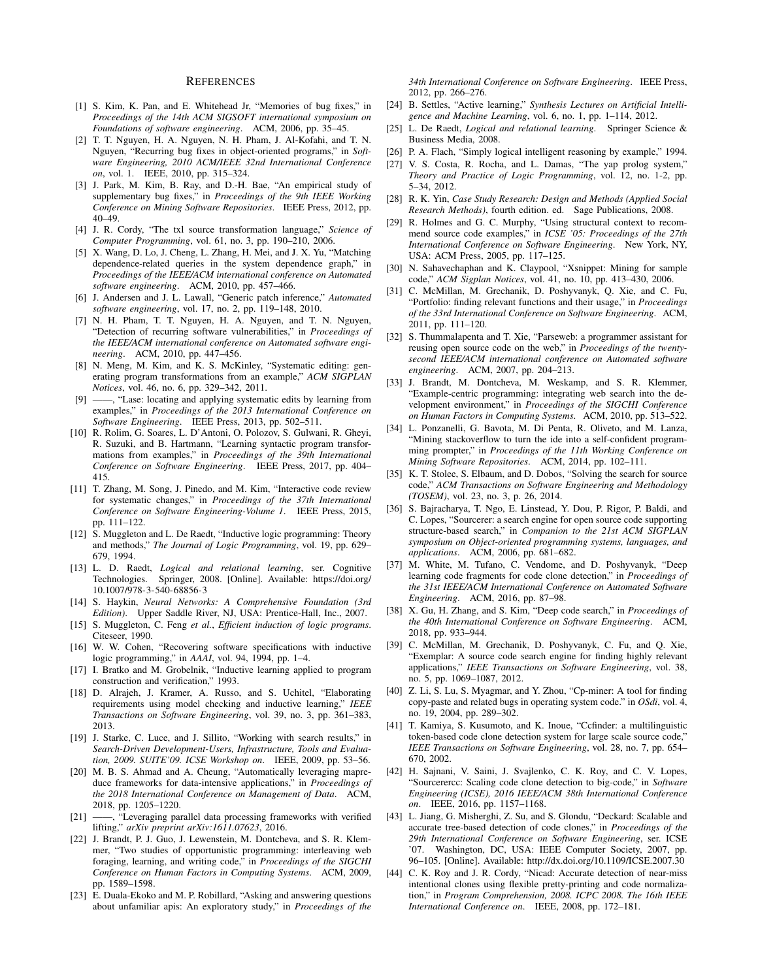#### **REFERENCES**

- [1] S. Kim, K. Pan, and E. Whitehead Jr, "Memories of bug fixes," in *Proceedings of the 14th ACM SIGSOFT international symposium on Foundations of software engineering*. ACM, 2006, pp. 35–45.
- [2] T. T. Nguyen, H. A. Nguyen, N. H. Pham, J. Al-Kofahi, and T. N. Nguyen, "Recurring bug fixes in object-oriented programs," in *Software Engineering, 2010 ACM/IEEE 32nd International Conference on*, vol. 1. IEEE, 2010, pp. 315–324.
- [3] J. Park, M. Kim, B. Ray, and D.-H. Bae, "An empirical study of supplementary bug fixes," in *Proceedings of the 9th IEEE Working Conference on Mining Software Repositories*. IEEE Press, 2012, pp. 40–49.
- [4] J. R. Cordy, "The txl source transformation language," *Science of Computer Programming*, vol. 61, no. 3, pp. 190–210, 2006.
- [5] X. Wang, D. Lo, J. Cheng, L. Zhang, H. Mei, and J. X. Yu, "Matching dependence-related queries in the system dependence graph," in *Proceedings of the IEEE/ACM international conference on Automated software engineering*. ACM, 2010, pp. 457–466.
- [6] J. Andersen and J. L. Lawall, "Generic patch inference," *Automated software engineering*, vol. 17, no. 2, pp. 119–148, 2010.
- [7] N. H. Pham, T. T. Nguyen, H. A. Nguyen, and T. N. Nguyen, "Detection of recurring software vulnerabilities," in *Proceedings of the IEEE/ACM international conference on Automated software engineering*. ACM, 2010, pp. 447–456.
- [8] N. Meng, M. Kim, and K. S. McKinley, "Systematic editing: generating program transformations from an example," *ACM SIGPLAN Notices*, vol. 46, no. 6, pp. 329–342, 2011.
- [9] ——, "Lase: locating and applying systematic edits by learning from examples," in *Proceedings of the 2013 International Conference on Software Engineering*. IEEE Press, 2013, pp. 502–511.
- [10] R. Rolim, G. Soares, L. D'Antoni, O. Polozov, S. Gulwani, R. Gheyi, R. Suzuki, and B. Hartmann, "Learning syntactic program transformations from examples," in *Proceedings of the 39th International Conference on Software Engineering*. IEEE Press, 2017, pp. 404– 415.
- [11] T. Zhang, M. Song, J. Pinedo, and M. Kim, "Interactive code review for systematic changes," in *Proceedings of the 37th International Conference on Software Engineering-Volume 1*. IEEE Press, 2015, pp. 111–122.
- [12] S. Muggleton and L. De Raedt, "Inductive logic programming: Theory and methods," *The Journal of Logic Programming*, vol. 19, pp. 629– 679, 1994.
- [13] L. D. Raedt, *Logical and relational learning*, ser. Cognitive Technologies. Springer, 2008. [Online]. Available: https://doi.org/ 10.1007/978-3-540-68856-3
- [14] S. Haykin, *Neural Networks: A Comprehensive Foundation (3rd Edition)*. Upper Saddle River, NJ, USA: Prentice-Hall, Inc., 2007.
- [15] S. Muggleton, C. Feng *et al.*, *Efficient induction of logic programs*. Citeseer, 1990.
- [16] W. W. Cohen, "Recovering software specifications with inductive logic programming," in *AAAI*, vol. 94, 1994, pp. 1–4.
- [17] I. Bratko and M. Grobelnik, "Inductive learning applied to program construction and verification," 1993.
- [18] D. Alrajeh, J. Kramer, A. Russo, and S. Uchitel, "Elaborating requirements using model checking and inductive learning," *IEEE Transactions on Software Engineering*, vol. 39, no. 3, pp. 361–383, 2013.
- [19] J. Starke, C. Luce, and J. Sillito, "Working with search results," in *Search-Driven Development-Users, Infrastructure, Tools and Evaluation, 2009. SUITE'09. ICSE Workshop on*. IEEE, 2009, pp. 53–56.
- [20] M. B. S. Ahmad and A. Cheung, "Automatically leveraging mapreduce frameworks for data-intensive applications," in *Proceedings of the 2018 International Conference on Management of Data*. ACM, 2018, pp. 1205–1220.
- [21] ——, "Leveraging parallel data processing frameworks with verified lifting," *arXiv preprint arXiv:1611.07623*, 2016.
- [22] J. Brandt, P. J. Guo, J. Lewenstein, M. Dontcheva, and S. R. Klemmer, "Two studies of opportunistic programming: interleaving web foraging, learning, and writing code," in *Proceedings of the SIGCHI Conference on Human Factors in Computing Systems*. ACM, 2009, pp. 1589–1598.
- [23] E. Duala-Ekoko and M. P. Robillard, "Asking and answering questions" about unfamiliar apis: An exploratory study," in *Proceedings of the*

*34th International Conference on Software Engineering*. IEEE Press, 2012, pp. 266–276.

- [24] B. Settles, "Active learning," *Synthesis Lectures on Artificial Intelligence and Machine Learning*, vol. 6, no. 1, pp. 1–114, 2012.
- [25] L. De Raedt, *Logical and relational learning*. Springer Science & Business Media, 2008.
- [26] P. A. Flach, "Simply logical intelligent reasoning by example," 1994.
- [27] V. S. Costa, R. Rocha, and L. Damas, "The yap prolog system," *Theory and Practice of Logic Programming*, vol. 12, no. 1-2, pp. 5–34, 2012.
- [28] R. K. Yin, *Case Study Research: Design and Methods (Applied Social Research Methods)*, fourth edition. ed. Sage Publications, 2008.
- [29] R. Holmes and G. C. Murphy, "Using structural context to recommend source code examples," in *ICSE '05: Proceedings of the 27th International Conference on Software Engineering*. New York, NY, USA: ACM Press, 2005, pp. 117–125.
- [30] N. Sahavechaphan and K. Claypool, "Xsnippet: Mining for sample code," *ACM Sigplan Notices*, vol. 41, no. 10, pp. 413–430, 2006.
- [31] C. McMillan, M. Grechanik, D. Poshyvanyk, Q. Xie, and C. Fu, "Portfolio: finding relevant functions and their usage," in *Proceedings of the 33rd International Conference on Software Engineering*. ACM, 2011, pp. 111–120.
- [32] S. Thummalapenta and T. Xie, "Parseweb: a programmer assistant for reusing open source code on the web," in *Proceedings of the twentysecond IEEE/ACM international conference on Automated software engineering*. ACM, 2007, pp. 204–213.
- [33] J. Brandt, M. Dontcheva, M. Weskamp, and S. R. Klemmer, "Example-centric programming: integrating web search into the development environment," in *Proceedings of the SIGCHI Conference on Human Factors in Computing Systems*. ACM, 2010, pp. 513–522.
- [34] L. Ponzanelli, G. Bavota, M. Di Penta, R. Oliveto, and M. Lanza, "Mining stackoverflow to turn the ide into a self-confident programming prompter," in *Proceedings of the 11th Working Conference on Mining Software Repositories*. ACM, 2014, pp. 102–111.
- [35] K. T. Stolee, S. Elbaum, and D. Dobos, "Solving the search for source code," *ACM Transactions on Software Engineering and Methodology (TOSEM)*, vol. 23, no. 3, p. 26, 2014.
- [36] S. Bajracharya, T. Ngo, E. Linstead, Y. Dou, P. Rigor, P. Baldi, and C. Lopes, "Sourcerer: a search engine for open source code supporting structure-based search," in *Companion to the 21st ACM SIGPLAN symposium on Object-oriented programming systems, languages, and applications*. ACM, 2006, pp. 681–682.
- [37] M. White, M. Tufano, C. Vendome, and D. Poshyvanyk, "Deep learning code fragments for code clone detection," in *Proceedings of the 31st IEEE/ACM International Conference on Automated Software Engineering*. ACM, 2016, pp. 87–98.
- [38] X. Gu, H. Zhang, and S. Kim, "Deep code search," in *Proceedings of the 40th International Conference on Software Engineering*. ACM, 2018, pp. 933–944.
- [39] C. McMillan, M. Grechanik, D. Poshyvanyk, C. Fu, and Q. Xie, "Exemplar: A source code search engine for finding highly relevant applications," *IEEE Transactions on Software Engineering*, vol. 38, no. 5, pp. 1069–1087, 2012.
- [40] Z. Li, S. Lu, S. Myagmar, and Y. Zhou, "Cp-miner: A tool for finding copy-paste and related bugs in operating system code." in *OSdi*, vol. 4, no. 19, 2004, pp. 289–302.
- [41] T. Kamiya, S. Kusumoto, and K. Inoue, "Ccfinder: a multilinguistic token-based code clone detection system for large scale source code," *IEEE Transactions on Software Engineering*, vol. 28, no. 7, pp. 654– 670, 2002.
- [42] H. Sajnani, V. Saini, J. Svajlenko, C. K. Roy, and C. V. Lopes, "Sourcerercc: Scaling code clone detection to big-code," in *Software Engineering (ICSE), 2016 IEEE/ACM 38th International Conference on*. IEEE, 2016, pp. 1157–1168.
- [43] L. Jiang, G. Misherghi, Z. Su, and S. Glondu, "Deckard: Scalable and accurate tree-based detection of code clones," in *Proceedings of the 29th International Conference on Software Engineering*, ser. ICSE '07. Washington, DC, USA: IEEE Computer Society, 2007, pp. 96–105. [Online]. Available: http://dx.doi.org/10.1109/ICSE.2007.30
- [44] C. K. Roy and J. R. Cordy, "Nicad: Accurate detection of near-miss intentional clones using flexible pretty-printing and code normalization," in *Program Comprehension, 2008. ICPC 2008. The 16th IEEE International Conference on*. IEEE, 2008, pp. 172–181.